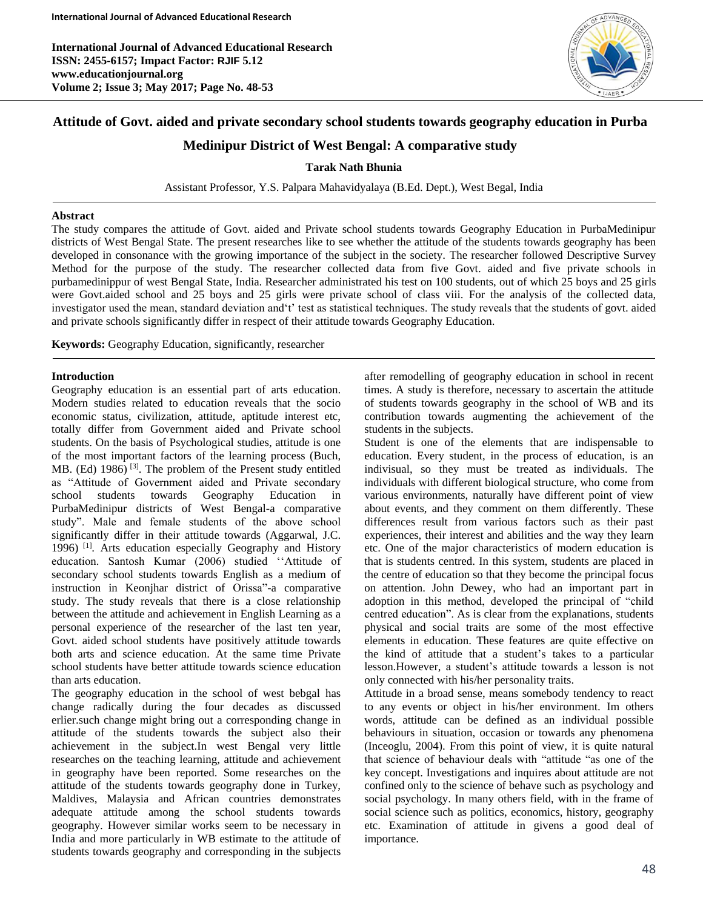

# **Attitude of Govt. aided and private secondary school students towards geography education in Purba**

# **Medinipur District of West Bengal: A comparative study**

# **Tarak Nath Bhunia**

Assistant Professor, Y.S. Palpara Mahavidyalaya (B.Ed. Dept.), West Begal, India

# **Abstract**

The study compares the attitude of Govt. aided and Private school students towards Geography Education in PurbaMedinipur districts of West Bengal State. The present researches like to see whether the attitude of the students towards geography has been developed in consonance with the growing importance of the subject in the society. The researcher followed Descriptive Survey Method for the purpose of the study. The researcher collected data from five Govt. aided and five private schools in purbamedinippur of west Bengal State, India. Researcher administrated his test on 100 students, out of which 25 boys and 25 girls were Govt.aided school and 25 boys and 25 girls were private school of class viii. For the analysis of the collected data, investigator used the mean, standard deviation and't' test as statistical techniques. The study reveals that the students of govt. aided and private schools significantly differ in respect of their attitude towards Geography Education.

**Keywords:** Geography Education, significantly, researcher

#### **Introduction**

Ī

Geography education is an essential part of arts education. Modern studies related to education reveals that the socio economic status, civilization, attitude, aptitude interest etc, totally differ from Government aided and Private school students. On the basis of Psychological studies, attitude is one of the most important factors of the learning process (Buch, MB. (Ed)  $1986$ <sup>[3]</sup>. The problem of the Present study entitled as "Attitude of Government aided and Private secondary school students towards Geography Education in PurbaMedinipur districts of West Bengal-a comparative study". Male and female students of the above school significantly differ in their attitude towards (Aggarwal, J.C. 1996)<sup>[1]</sup>. Arts education especially Geography and History education. Santosh Kumar (2006) studied ''Attitude of secondary school students towards English as a medium of instruction in Keonjhar district of Orissa"-a comparative study. The study reveals that there is a close relationship between the attitude and achievement in English Learning as a personal experience of the researcher of the last ten year, Govt. aided school students have positively attitude towards both arts and science education. At the same time Private school students have better attitude towards science education than arts education.

The geography education in the school of west bebgal has change radically during the four decades as discussed erlier.such change might bring out a corresponding change in attitude of the students towards the subject also their achievement in the subject.In west Bengal very little researches on the teaching learning, attitude and achievement in geography have been reported. Some researches on the attitude of the students towards geography done in Turkey, Maldives, Malaysia and African countries demonstrates adequate attitude among the school students towards geography. However similar works seem to be necessary in India and more particularly in WB estimate to the attitude of students towards geography and corresponding in the subjects

after remodelling of geography education in school in recent times. A study is therefore, necessary to ascertain the attitude of students towards geography in the school of WB and its contribution towards augmenting the achievement of the students in the subjects.

Student is one of the elements that are indispensable to education. Every student, in the process of education, is an indivisual, so they must be treated as individuals. The individuals with different biological structure, who come from various environments, naturally have different point of view about events, and they comment on them differently. These differences result from various factors such as their past experiences, their interest and abilities and the way they learn etc. One of the major characteristics of modern education is that is students centred. In this system, students are placed in the centre of education so that they become the principal focus on attention. John Dewey, who had an important part in adoption in this method, developed the principal of "child centred education". As is clear from the explanations, students physical and social traits are some of the most effective elements in education. These features are quite effective on the kind of attitude that a student's takes to a particular lesson.However, a student's attitude towards a lesson is not only connected with his/her personality traits.

Attitude in a broad sense, means somebody tendency to react to any events or object in his/her environment. Im others words, attitude can be defined as an individual possible behaviours in situation, occasion or towards any phenomena (Inceoglu, 2004). From this point of view, it is quite natural that science of behaviour deals with "attitude "as one of the key concept. Investigations and inquires about attitude are not confined only to the science of behave such as psychology and social psychology. In many others field, with in the frame of social science such as politics, economics, history, geography etc. Examination of attitude in givens a good deal of importance.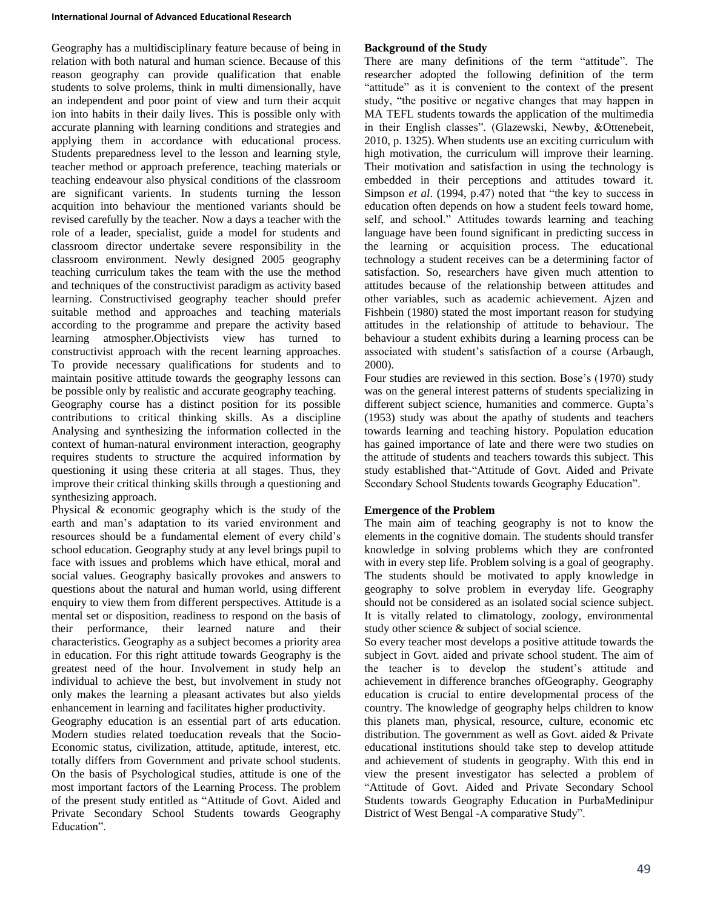#### **International Journal of Advanced Educational Research**

Geography has a multidisciplinary feature because of being in relation with both natural and human science. Because of this reason geography can provide qualification that enable students to solve prolems, think in multi dimensionally, have an independent and poor point of view and turn their acquit ion into habits in their daily lives. This is possible only with accurate planning with learning conditions and strategies and applying them in accordance with educational process. Students preparedness level to the lesson and learning style, teacher method or approach preference, teaching materials or teaching endeavour also physical conditions of the classroom are significant varients. In students turning the lesson acquition into behaviour the mentioned variants should be revised carefully by the teacher. Now a days a teacher with the role of a leader, specialist, guide a model for students and classroom director undertake severe responsibility in the classroom environment. Newly designed 2005 geography teaching curriculum takes the team with the use the method and techniques of the constructivist paradigm as activity based learning. Constructivised geography teacher should prefer suitable method and approaches and teaching materials according to the programme and prepare the activity based learning atmospher.Objectivists view has turned to constructivist approach with the recent learning approaches. To provide necessary qualifications for students and to maintain positive attitude towards the geography lessons can be possible only by realistic and accurate geography teaching. Geography course has a distinct position for its possible contributions to critical thinking skills. As a discipline Analysing and synthesizing the information collected in the context of human-natural environment interaction, geography requires students to structure the acquired information by questioning it using these criteria at all stages. Thus, they improve their critical thinking skills through a questioning and synthesizing approach.

Physical & economic geography which is the study of the earth and man's adaptation to its varied environment and resources should be a fundamental element of every child's school education. Geography study at any level brings pupil to face with issues and problems which have ethical, moral and social values. Geography basically provokes and answers to questions about the natural and human world, using different enquiry to view them from different perspectives. Attitude is a mental set or disposition, readiness to respond on the basis of their performance, their learned nature and their characteristics. Geography as a subject becomes a priority area in education. For this right attitude towards Geography is the greatest need of the hour. Involvement in study help an individual to achieve the best, but involvement in study not only makes the learning a pleasant activates but also yields enhancement in learning and facilitates higher productivity.

Geography education is an essential part of arts education. Modern studies related toeducation reveals that the Socio-Economic status, civilization, attitude, aptitude, interest, etc. totally differs from Government and private school students. On the basis of Psychological studies, attitude is one of the most important factors of the Learning Process. The problem of the present study entitled as "Attitude of Govt. Aided and Private Secondary School Students towards Geography Education".

# **Background of the Study**

There are many definitions of the term "attitude". The researcher adopted the following definition of the term "attitude" as it is convenient to the context of the present study, "the positive or negative changes that may happen in MA TEFL students towards the application of the multimedia in their English classes". (Glazewski, Newby, &Ottenebeit, 2010, p. 1325). When students use an exciting curriculum with high motivation, the curriculum will improve their learning. Their motivation and satisfaction in using the technology is embedded in their perceptions and attitudes toward it. Simpson *et al*. (1994, p.47) noted that "the key to success in education often depends on how a student feels toward home, self, and school." Attitudes towards learning and teaching language have been found significant in predicting success in the learning or acquisition process. The educational technology a student receives can be a determining factor of satisfaction. So, researchers have given much attention to attitudes because of the relationship between attitudes and other variables, such as academic achievement. Ajzen and Fishbein (1980) stated the most important reason for studying attitudes in the relationship of attitude to behaviour. The behaviour a student exhibits during a learning process can be associated with student's satisfaction of a course (Arbaugh, 2000).

Four studies are reviewed in this section. Bose's (1970) study was on the general interest patterns of students specializing in different subject science, humanities and commerce. Gupta's (1953) study was about the apathy of students and teachers towards learning and teaching history. Population education has gained importance of late and there were two studies on the attitude of students and teachers towards this subject. This study established that-"Attitude of Govt. Aided and Private Secondary School Students towards Geography Education".

# **Emergence of the Problem**

The main aim of teaching geography is not to know the elements in the cognitive domain. The students should transfer knowledge in solving problems which they are confronted with in every step life. Problem solving is a goal of geography. The students should be motivated to apply knowledge in geography to solve problem in everyday life. Geography should not be considered as an isolated social science subject. It is vitally related to climatology, zoology, environmental study other science & subject of social science.

So every teacher most develops a positive attitude towards the subject in Govt. aided and private school student. The aim of the teacher is to develop the student's attitude and achievement in difference branches ofGeography. Geography education is crucial to entire developmental process of the country. The knowledge of geography helps children to know this planets man, physical, resource, culture, economic etc distribution. The government as well as Govt. aided & Private educational institutions should take step to develop attitude and achievement of students in geography. With this end in view the present investigator has selected a problem of "Attitude of Govt. Aided and Private Secondary School Students towards Geography Education in PurbaMedinipur District of West Bengal -A comparative Study".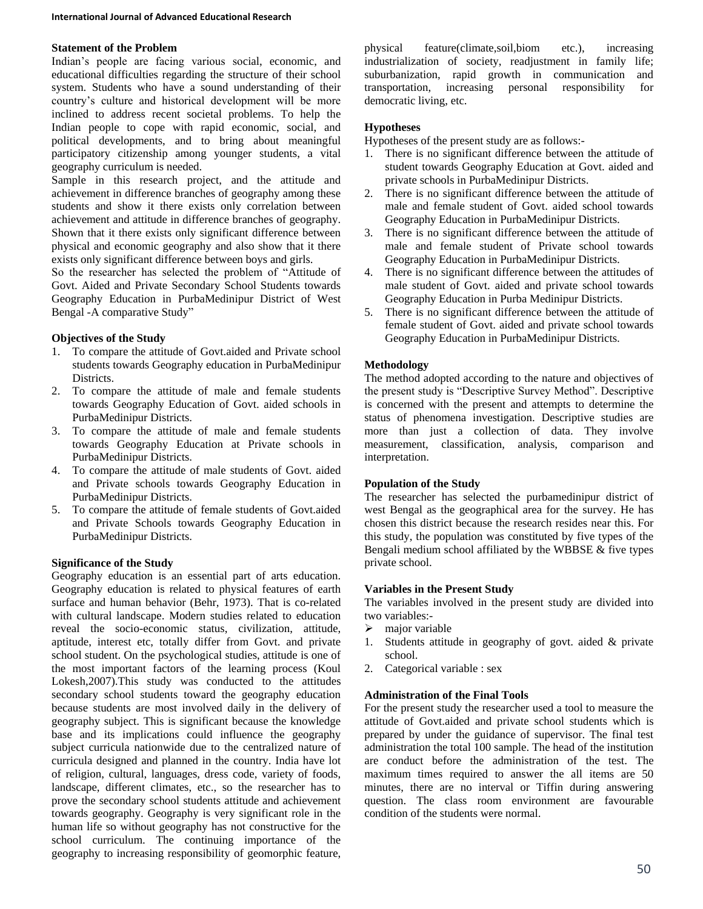# **Statement of the Problem**

Indian's people are facing various social, economic, and educational difficulties regarding the structure of their school system. Students who have a sound understanding of their country's culture and historical development will be more inclined to address recent societal problems. To help the Indian people to cope with rapid economic, social, and political developments, and to bring about meaningful participatory citizenship among younger students, a vital geography curriculum is needed.

Sample in this research project, and the attitude and achievement in difference branches of geography among these students and show it there exists only correlation between achievement and attitude in difference branches of geography. Shown that it there exists only significant difference between physical and economic geography and also show that it there exists only significant difference between boys and girls.

So the researcher has selected the problem of "Attitude of Govt. Aided and Private Secondary School Students towards Geography Education in PurbaMedinipur District of West Bengal -A comparative Study"

# **Objectives of the Study**

- 1. To compare the attitude of Govt.aided and Private school students towards Geography education in PurbaMedinipur Districts.
- 2. To compare the attitude of male and female students towards Geography Education of Govt. aided schools in PurbaMedinipur Districts.
- 3. To compare the attitude of male and female students towards Geography Education at Private schools in PurbaMedinipur Districts.
- 4. To compare the attitude of male students of Govt. aided and Private schools towards Geography Education in PurbaMedinipur Districts.
- 5. To compare the attitude of female students of Govt.aided and Private Schools towards Geography Education in PurbaMedinipur Districts.

# **Significance of the Study**

Geography education is an essential part of arts education. Geography education is related to physical features of earth surface and human behavior (Behr, 1973). That is co-related with cultural landscape. Modern studies related to education reveal the socio-economic status, civilization, attitude, aptitude, interest etc, totally differ from Govt. and private school student. On the psychological studies, attitude is one of the most important factors of the learning process (Koul Lokesh,2007).This study was conducted to the attitudes secondary school students toward the geography education because students are most involved daily in the delivery of geography subject. This is significant because the knowledge base and its implications could influence the geography subject curricula nationwide due to the centralized nature of curricula designed and planned in the country. India have lot of religion, cultural, languages, dress code, variety of foods, landscape, different climates, etc., so the researcher has to prove the secondary school students attitude and achievement towards geography. Geography is very significant role in the human life so without geography has not constructive for the school curriculum. The continuing importance of the geography to increasing responsibility of geomorphic feature,

physical feature(climate,soil,biom etc.), increasing industrialization of society, readjustment in family life; suburbanization, rapid growth in communication and transportation, increasing personal responsibility for democratic living, etc.

# **Hypotheses**

Hypotheses of the present study are as follows:-

- 1. There is no significant difference between the attitude of student towards Geography Education at Govt. aided and private schools in PurbaMedinipur Districts.
- 2. There is no significant difference between the attitude of male and female student of Govt. aided school towards Geography Education in PurbaMedinipur Districts.
- 3. There is no significant difference between the attitude of male and female student of Private school towards Geography Education in PurbaMedinipur Districts.
- 4. There is no significant difference between the attitudes of male student of Govt. aided and private school towards Geography Education in Purba Medinipur Districts.
- 5. There is no significant difference between the attitude of female student of Govt. aided and private school towards Geography Education in PurbaMedinipur Districts.

# **Methodology**

The method adopted according to the nature and objectives of the present study is "Descriptive Survey Method". Descriptive is concerned with the present and attempts to determine the status of phenomena investigation. Descriptive studies are more than just a collection of data. They involve measurement, classification, analysis, comparison and interpretation.

#### **Population of the Study**

The researcher has selected the purbamedinipur district of west Bengal as the geographical area for the survey. He has chosen this district because the research resides near this. For this study, the population was constituted by five types of the Bengali medium school affiliated by the WBBSE & five types private school.

#### **Variables in the Present Study**

The variables involved in the present study are divided into two variables:-

- $\triangleright$  major variable
- 1. Students attitude in geography of govt. aided & private school.
- 2. Categorical variable : sex

# **Administration of the Final Tools**

For the present study the researcher used a tool to measure the attitude of Govt.aided and private school students which is prepared by under the guidance of supervisor. The final test administration the total 100 sample. The head of the institution are conduct before the administration of the test. The maximum times required to answer the all items are 50 minutes, there are no interval or Tiffin during answering question. The class room environment are favourable condition of the students were normal.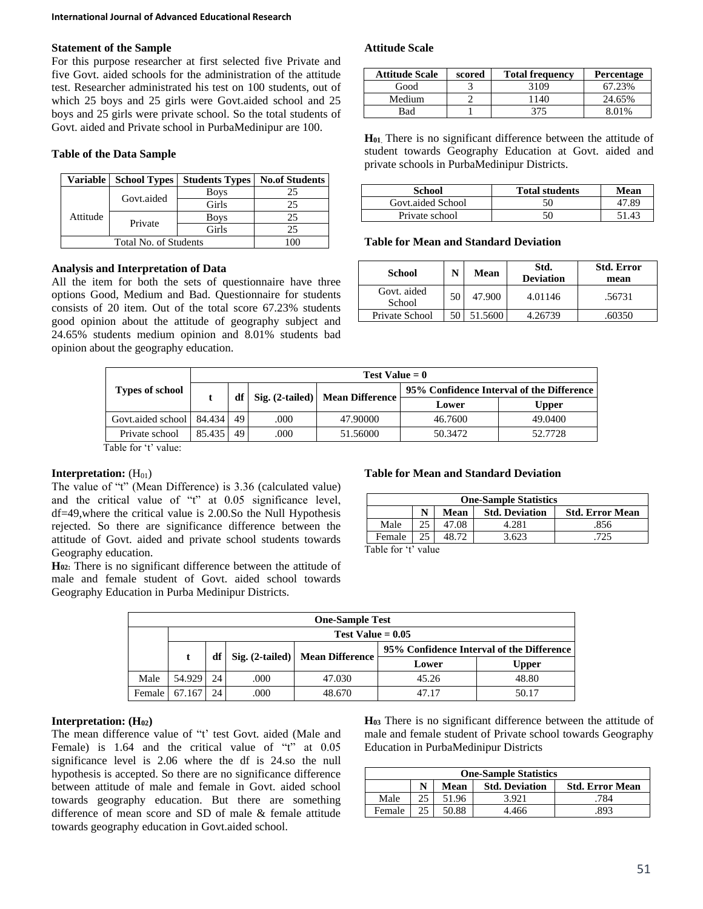# **Statement of the Sample**

For this purpose researcher at first selected five Private and five Govt. aided schools for the administration of the attitude test. Researcher administrated his test on 100 students, out of which 25 boys and 25 girls were Govt.aided school and 25 boys and 25 girls were private school. So the total students of Govt. aided and Private school in PurbaMedinipur are 100.

# **Table of the Data Sample**

| <b>Variable</b> | <b>School Types</b> | <b>Students Types</b> | <b>No.of Students</b> |
|-----------------|---------------------|-----------------------|-----------------------|
|                 | Govt.aided          | <b>Boys</b>           | 25                    |
|                 |                     | Girls                 | 25                    |
| Attitude        | Private             | <b>Boys</b>           | 25                    |
|                 |                     | Girls                 | 25                    |
|                 |                     |                       |                       |

# **Analysis and Interpretation of Data**

All the item for both the sets of questionnaire have three options Good, Medium and Bad. Questionnaire for students consists of 20 item. Out of the total score 67.23% students good opinion about the attitude of geography subject and 24.65% students medium opinion and 8.01% students bad opinion about the geography education.

# **Attitude Scale**

| <b>Attitude Scale</b> | scored | <b>Total frequency</b> | <b>Percentage</b> |
|-----------------------|--------|------------------------|-------------------|
| Good                  |        | 3109                   | 67.23%            |
| Medium                |        | 1140                   | 24.65%            |
| Bad                   |        | 375                    | 8.01%             |

**H<sup>01</sup>**. There is no significant difference between the attitude of student towards Geography Education at Govt. aided and private schools in PurbaMedinipur Districts.

| School            | <b>Total students</b> | Mean  |
|-------------------|-----------------------|-------|
| Govt.aided School | 50                    | 47.89 |
| Private school    | 50                    | 51.43 |

#### **Table for Mean and Standard Deviation**

| School                | N    | Mean    | Std.<br><b>Deviation</b> | <b>Std. Error</b><br>mean |
|-----------------------|------|---------|--------------------------|---------------------------|
| Govt. aided<br>School | 50   | 47.900  | 4.01146                  | .56731                    |
| Private School        | 50 I | 51.5600 | 4.26739                  | .60350                    |

|                        | Test Value $= 0$ |    |      |                                   |                                           |              |  |  |  |
|------------------------|------------------|----|------|-----------------------------------|-------------------------------------------|--------------|--|--|--|
| <b>Types of school</b> |                  | df |      | Sig. (2-tailed)   Mean Difference | 95% Confidence Interval of the Difference |              |  |  |  |
|                        |                  |    |      |                                   | Lower                                     | <b>Upper</b> |  |  |  |
| Govt.aided school      | 84.434           | 49 | .000 | 47.90000                          | 46.7600                                   | 49.0400      |  |  |  |
| Private school         | 85.435           | 49 | .000 | 51.56000                          | 50.3472                                   | 52.7728      |  |  |  |
| Table 42 value         |                  |    |      |                                   |                                           |              |  |  |  |

Table for 't' value:

# **Interpretation:**  $(H<sub>01</sub>)$

The value of "t" (Mean Difference) is 3.36 (calculated value) and the critical value of "t" at 0.05 significance level, df=49,where the critical value is 2.00.So the Null Hypothesis rejected. So there are significance difference between the attitude of Govt. aided and private school students towards Geography education.

**H02:** There is no significant difference between the attitude of male and female student of Govt. aided school towards Geography Education in Purba Medinipur Districts.

#### **Table for Mean and Standard Deviation**

| <b>One-Sample Statistics</b>                            |    |       |       |     |  |  |
|---------------------------------------------------------|----|-------|-------|-----|--|--|
| <b>Std. Deviation</b><br>Mean<br><b>Std. Error Mean</b> |    |       |       |     |  |  |
| Male                                                    | 25 | 47.08 | 4.281 | 856 |  |  |
| Female                                                  | 25 |       | 3.623 |     |  |  |

Table for 't' value

| <b>One-Sample Test</b> |        |    |      |                                 |                                           |              |  |
|------------------------|--------|----|------|---------------------------------|-------------------------------------------|--------------|--|
| Test Value $= 0.05$    |        |    |      |                                 |                                           |              |  |
|                        |        |    |      |                                 | 95% Confidence Interval of the Difference |              |  |
|                        |        | df |      | Sig. (2-tailed) Mean Difference | Lower                                     | <b>Upper</b> |  |
| Male                   | 54.929 | 24 | .000 | 47.030                          | 45.26                                     | 48.80        |  |
| Female                 | .167   | 24 | .000 | 48.670                          | 47 17                                     | 50.17        |  |

#### **Interpretation: (H02)**

The mean difference value of "t' test Govt. aided (Male and Female) is 1.64 and the critical value of "t" at 0.05 significance level is 2.06 where the df is 24.so the null hypothesis is accepted. So there are no significance difference between attitude of male and female in Govt. aided school towards geography education. But there are something difference of mean score and SD of male & female attitude towards geography education in Govt.aided school.

**H<sup>03</sup>** There is no significant difference between the attitude of male and female student of Private school towards Geography Education in PurbaMedinipur Districts

| <b>One-Sample Statistics</b>                            |    |       |       |     |  |  |  |
|---------------------------------------------------------|----|-------|-------|-----|--|--|--|
| <b>Std. Deviation</b><br><b>Std. Error Mean</b><br>Mean |    |       |       |     |  |  |  |
| Male                                                    | 25 | 51.96 | 3.921 | 784 |  |  |  |
| Female                                                  | 25 | 50.88 | 4.466 | 893 |  |  |  |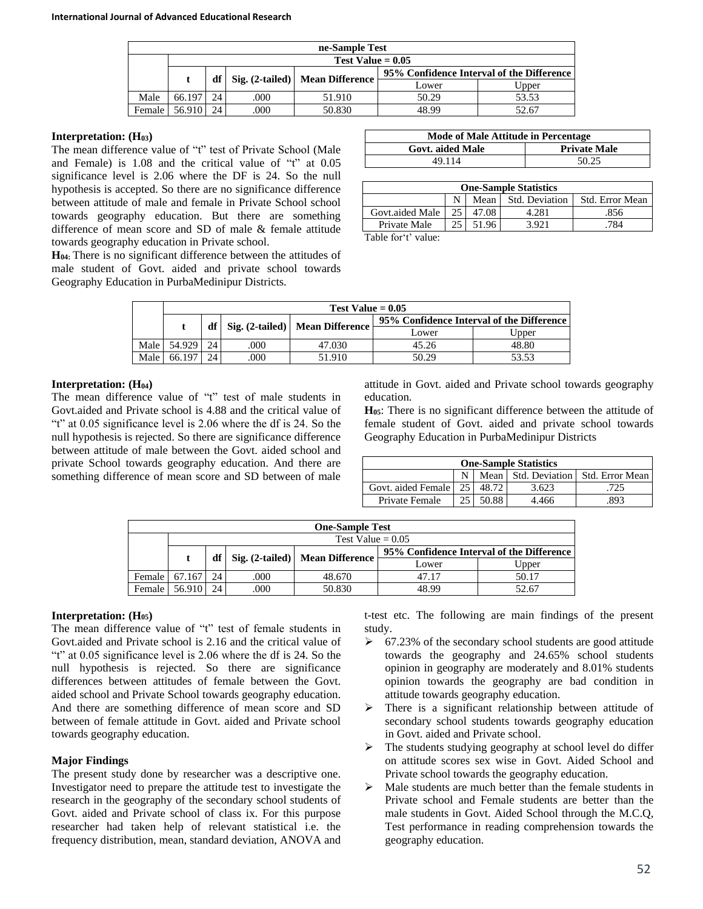| ne-Sample Test      |        |    |      |                                 |                                           |       |  |
|---------------------|--------|----|------|---------------------------------|-------------------------------------------|-------|--|
| Test Value $= 0.05$ |        |    |      |                                 |                                           |       |  |
|                     |        | df |      | Sig. (2-tailed) Mean Difference | 95% Confidence Interval of the Difference |       |  |
|                     |        |    |      |                                 | Lower                                     | Upper |  |
| Male                | 66.197 | 24 | .000 | 51.910                          | 50.29                                     | 53.53 |  |
| Female              | 56.910 | 24 | .000 | 50.830                          | 48 99                                     | 52.67 |  |

#### **Interpretation: (H03)**

The mean difference value of "t" test of Private School (Male and Female) is 1.08 and the critical value of "t" at 0.05 significance level is 2.06 where the DF is 24. So the null hypothesis is accepted. So there are no significance difference between attitude of male and female in Private School school towards geography education. But there are something difference of mean score and SD of male & female attitude towards geography education in Private school.

**H04:** There is no significant difference between the attitudes of male student of Govt. aided and private school towards Geography Education in PurbaMedinipur Districts.

| Mode of Male Attitude in Percentage |                     |  |  |  |  |
|-------------------------------------|---------------------|--|--|--|--|
| Govt. aided Male                    | <b>Private Male</b> |  |  |  |  |
| 49 114                              | 50.25               |  |  |  |  |

| <b>One-Sample Statistics</b>              |    |       |       |     |  |  |
|-------------------------------------------|----|-------|-------|-----|--|--|
| Std. Deviation<br>Std. Error Mean<br>Mean |    |       |       |     |  |  |
| Govt.aided Male                           | 25 | 47.08 | 4.281 | 856 |  |  |
| Private Male                              |    | 51.96 | 3 921 | 784 |  |  |

Table for't' value:

|      | Test Value $= 0.05$ |    |     |                                        |                                           |       |  |  |
|------|---------------------|----|-----|----------------------------------------|-------------------------------------------|-------|--|--|
|      |                     |    |     |                                        | 95% Confidence Interval of the Difference |       |  |  |
|      |                     |    |     | df   Sig. (2-tailed)   Mean Difference | Lower                                     | Upper |  |  |
| Male | 54.929              | 24 | 000 | 47.030                                 | 45.26                                     | 48.80 |  |  |
| Male | 66.197              | 24 | 000 | 51.910                                 | 50.29                                     | 53.53 |  |  |

# **Interpretation: (H04)**

The mean difference value of "t" test of male students in Govt.aided and Private school is 4.88 and the critical value of "t" at 0.05 significance level is 2.06 where the df is 24. So the null hypothesis is rejected. So there are significance difference between attitude of male between the Govt. aided school and private School towards geography education. And there are something difference of mean score and SD between of male attitude in Govt. aided and Private school towards geography education.

**H05**: There is no significant difference between the attitude of female student of Govt. aided and private school towards Geography Education in PurbaMedinipur Districts

| <b>One-Sample Statistics</b> |           |         |       |                                     |  |  |  |  |  |
|------------------------------|-----------|---------|-------|-------------------------------------|--|--|--|--|--|
|                              |           |         |       | Mean Std. Deviation Std. Error Mean |  |  |  |  |  |
| Govt. aided Female           | $25 \mid$ | 48.72.1 | 3.623 | .725                                |  |  |  |  |  |
| Private Female               | 25        | 50.88   | 4.466 | 893                                 |  |  |  |  |  |

| <b>One-Sample Test</b> |        |    |                                   |        |                                           |       |  |  |  |
|------------------------|--------|----|-----------------------------------|--------|-------------------------------------------|-------|--|--|--|
| Test Value $= 0.05$    |        |    |                                   |        |                                           |       |  |  |  |
|                        | df     |    |                                   |        | 95% Confidence Interval of the Difference |       |  |  |  |
|                        |        |    | Sig. (2-tailed)   Mean Difference | Lower  | Jpper                                     |       |  |  |  |
| Female                 | 67.167 | 24 | .000                              | 48.670 | 47.17                                     | 50.17 |  |  |  |
| Female                 | 56.910 | 24 | .000                              | 50.830 | 48 99                                     | 52.67 |  |  |  |

# **Interpretation: (H05)**

The mean difference value of "t" test of female students in Govt.aided and Private school is 2.16 and the critical value of "t" at 0.05 significance level is 2.06 where the df is 24. So the null hypothesis is rejected. So there are significance differences between attitudes of female between the Govt. aided school and Private School towards geography education. And there are something difference of mean score and SD between of female attitude in Govt. aided and Private school towards geography education.

#### **Major Findings**

The present study done by researcher was a descriptive one. Investigator need to prepare the attitude test to investigate the research in the geography of the secondary school students of Govt. aided and Private school of class ix. For this purpose researcher had taken help of relevant statistical i.e. the frequency distribution, mean, standard deviation, ANOVA and

t-test etc. The following are main findings of the present study.

- $\geq 67.23\%$  of the secondary school students are good attitude towards the geography and 24.65% school students opinion in geography are moderately and 8.01% students opinion towards the geography are bad condition in attitude towards geography education.
- $\triangleright$  There is a significant relationship between attitude of secondary school students towards geography education in Govt. aided and Private school.
- $\triangleright$  The students studying geography at school level do differ on attitude scores sex wise in Govt. Aided School and Private school towards the geography education.
- $\triangleright$  Male students are much better than the female students in Private school and Female students are better than the male students in Govt. Aided School through the M.C.Q, Test performance in reading comprehension towards the geography education.